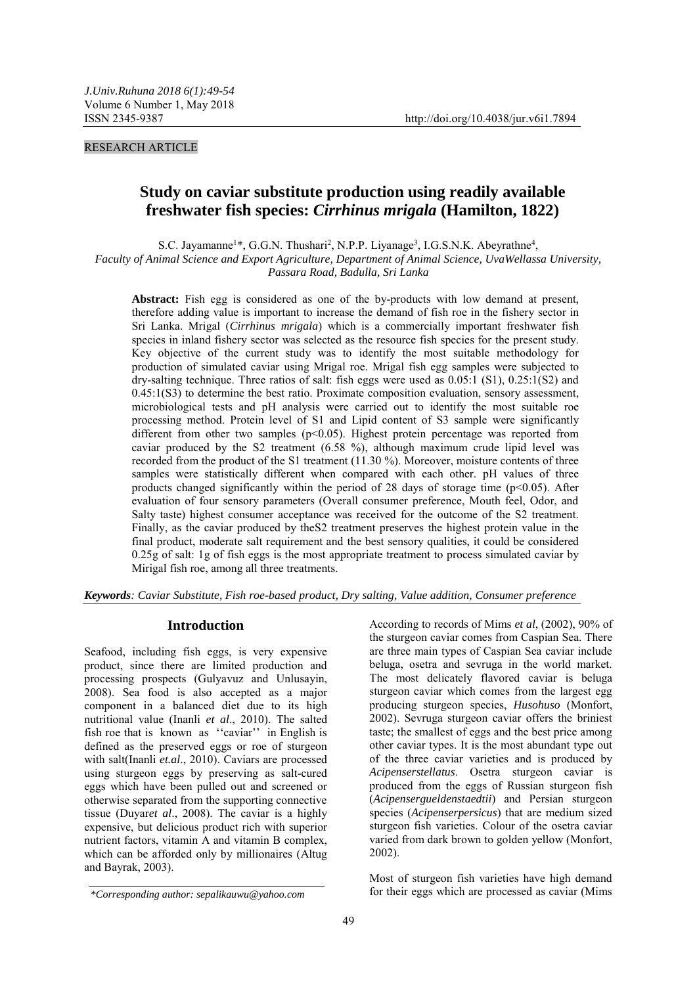### RESEARCH ARTICLE

# **Study on caviar substitute production using readily available freshwater fish species:** *Cirrhinus mrigala* **(Hamilton, 1822)**

S.C. Jayamanne<sup>1\*</sup>, G.G.N. Thushari<sup>2</sup>, N.P.P. Liyanage<sup>3</sup>, I.G.S.N.K. Abeyrathne<sup>4</sup>,

*Faculty of Animal Science and Export Agriculture, Department of Animal Science, UvaWellassa University, Passara Road, Badulla, Sri Lanka*

**Abstract:** Fish egg is considered as one of the by-products with low demand at present, therefore adding value is important to increase the demand of fish roe in the fishery sector in Sri Lanka. Mrigal (*Cirrhinus mrigala*) which is a commercially important freshwater fish species in inland fishery sector was selected as the resource fish species for the present study. Key objective of the current study was to identify the most suitable methodology for production of simulated caviar using Mrigal roe. Mrigal fish egg samples were subjected to dry-salting technique. Three ratios of salt: fish eggs were used as  $0.05:1$  (S1),  $0.25:1(S2)$  and 0.45:1(S3) to determine the best ratio. Proximate composition evaluation, sensory assessment, microbiological tests and pH analysis were carried out to identify the most suitable roe processing method. Protein level of S1 and Lipid content of S3 sample were significantly different from other two samples  $(p<0.05)$ . Highest protein percentage was reported from caviar produced by the S2 treatment (6.58 %), although maximum crude lipid level was recorded from the product of the S1 treatment (11.30 %). Moreover, moisture contents of three samples were statistically different when compared with each other. pH values of three products changed significantly within the period of 28 days of storage time ( $p<0.05$ ). After evaluation of four sensory parameters (Overall consumer preference, Mouth feel, Odor, and Salty taste) highest consumer acceptance was received for the outcome of the S2 treatment. Finally, as the caviar produced by theS2 treatment preserves the highest protein value in the final product, moderate salt requirement and the best sensory qualities, it could be considered 0.25g of salt: 1g of fish eggs is the most appropriate treatment to process simulated caviar by Mirigal fish roe, among all three treatments.

*Keywords: Caviar Substitute, Fish roe-based product, Dry salting, Value addition, Consumer preference*

#### **Introduction**

Seafood, including fish eggs, is very expensive product, since there are limited production and processing prospects (Gulyavuz and Unlusayin, 2008). Sea food is also accepted as a major component in a balanced diet due to its high nutritional value (Inanli *et al*., 2010). The salted fish roe that is known as ''caviar'' in English is defined as the preserved eggs or roe of sturgeon with salt(Inanli *et.al*., 2010). Caviars are processed using sturgeon eggs by preserving as salt-cured eggs which have been pulled out and screened or otherwise separated from the supporting connective tissue (Duyar*et al*., 2008). The caviar is a highly expensive, but delicious product rich with superior nutrient factors, vitamin A and vitamin B complex, which can be afforded only by millionaires (Altug and Bayrak, 2003).

According to records of Mims *et al*, (2002), 90% of the sturgeon caviar comes from Caspian Sea. There are three main types of Caspian Sea caviar include beluga, osetra and sevruga in the world market. The most delicately flavored caviar is beluga sturgeon caviar which comes from the largest egg producing sturgeon species, *Husohuso* (Monfort, 2002). Sevruga sturgeon caviar offers the briniest taste; the smallest of eggs and the best price among other caviar types. It is the most abundant type out of the three caviar varieties and is produced by *Acipenserstellatus*. Osetra sturgeon caviar is produced from the eggs of Russian sturgeon fish (*Acipensergueldenstaedtii*) and Persian sturgeon species (*Acipenserpersicus*) that are medium sized sturgeon fish varieties. Colour of the osetra caviar varied from dark brown to golden yellow (Monfort, 2002).

Most of sturgeon fish varieties have high demand \*Corresponding author: sepalikauwu@yahoo.com for their eggs which are processed as caviar (Mims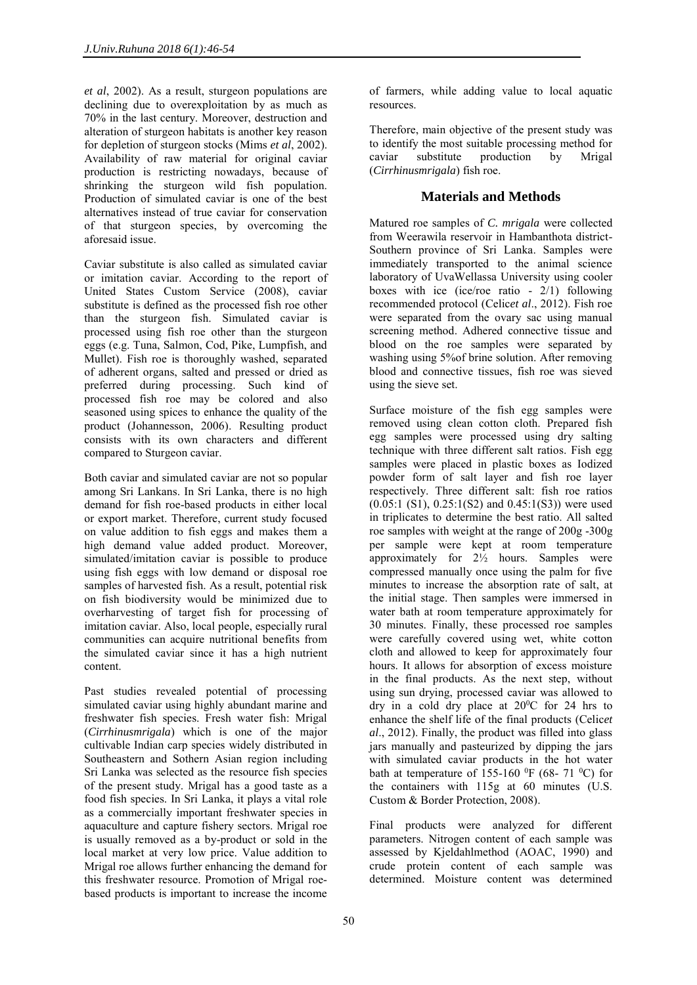*et al*, 2002). As a result, sturgeon populations are declining due to overexploitation by as much as 70% in the last century. Moreover, destruction and alteration of sturgeon habitats is another key reason for depletion of sturgeon stocks (Mims *et al*, 2002). Availability of raw material for original caviar production is restricting nowadays, because of shrinking the sturgeon wild fish population. Production of simulated caviar is one of the best alternatives instead of true caviar for conservation of that sturgeon species, by overcoming the aforesaid issue.

Caviar substitute is also called as simulated caviar or imitation caviar. According to the report of United States Custom Service (2008), caviar substitute is defined as the processed fish roe other than the sturgeon fish. Simulated caviar is processed using fish roe other than the sturgeon eggs (e.g. Tuna, Salmon, Cod, Pike, Lumpfish, and Mullet). Fish roe is thoroughly washed, separated of adherent organs, salted and pressed or dried as preferred during processing. Such kind of processed fish roe may be colored and also seasoned using spices to enhance the quality of the product (Johannesson, 2006). Resulting product consists with its own characters and different compared to Sturgeon caviar.

Both caviar and simulated caviar are not so popular among Sri Lankans. In Sri Lanka, there is no high demand for fish roe-based products in either local or export market. Therefore, current study focused on value addition to fish eggs and makes them a high demand value added product. Moreover, simulated/imitation caviar is possible to produce using fish eggs with low demand or disposal roe samples of harvested fish. As a result, potential risk on fish biodiversity would be minimized due to overharvesting of target fish for processing of imitation caviar. Also, local people, especially rural communities can acquire nutritional benefits from the simulated caviar since it has a high nutrient content.

Past studies revealed potential of processing simulated caviar using highly abundant marine and freshwater fish species. Fresh water fish: Mrigal (*Cirrhinusmrigala*) which is one of the major cultivable Indian carp species widely distributed in Southeastern and Sothern Asian region including Sri Lanka was selected as the resource fish species of the present study. Mrigal has a good taste as a food fish species. In Sri Lanka, it plays a vital role as a commercially important freshwater species in aquaculture and capture fishery sectors. Mrigal roe is usually removed as a by-product or sold in the local market at very low price. Value addition to Mrigal roe allows further enhancing the demand for this freshwater resource. Promotion of Mrigal roebased products is important to increase the income

of farmers, while adding value to local aquatic resources.

Therefore, main objective of the present study was to identify the most suitable processing method for caviar substitute production by Mrigal (*Cirrhinusmrigala*) fish roe.

## **Materials and Methods**

Matured roe samples of *C. mrigala* were collected from Weerawila reservoir in Hambanthota district-Southern province of Sri Lanka. Samples were immediately transported to the animal science laboratory of UvaWellassa University using cooler boxes with ice (ice/roe ratio - 2/1) following recommended protocol (Celic*et al*., 2012). Fish roe were separated from the ovary sac using manual screening method. Adhered connective tissue and blood on the roe samples were separated by washing using 5%of brine solution. After removing blood and connective tissues, fish roe was sieved using the sieve set.

Surface moisture of the fish egg samples were removed using clean cotton cloth. Prepared fish egg samples were processed using dry salting technique with three different salt ratios. Fish egg samples were placed in plastic boxes as Iodized powder form of salt layer and fish roe layer respectively. Three different salt: fish roe ratios  $(0.05:1 \text{ (S1)}, 0.25:1 \text{ (S2)}$  and  $(0.45:1 \text{ (S3)})$  were used in triplicates to determine the best ratio. All salted roe samples with weight at the range of 200g -300g per sample were kept at room temperature approximately for  $2\frac{1}{2}$  hours. Samples were compressed manually once using the palm for five minutes to increase the absorption rate of salt, at the initial stage. Then samples were immersed in water bath at room temperature approximately for 30 minutes. Finally, these processed roe samples were carefully covered using wet, white cotton cloth and allowed to keep for approximately four hours. It allows for absorption of excess moisture in the final products. As the next step, without using sun drying, processed caviar was allowed to dry in a cold dry place at  $20^{\circ}$ C for 24 hrs to enhance the shelf life of the final products (Celic*et al*., 2012). Finally, the product was filled into glass jars manually and pasteurized by dipping the jars with simulated caviar products in the hot water bath at temperature of 155-160  $^0$ F (68- 71  $^0$ C) for the containers with 115g at 60 minutes (U.S. Custom & Border Protection, 2008).

Final products were analyzed for different parameters. Nitrogen content of each sample was assessed by Kjeldahlmethod (AOAC, 1990) and crude protein content of each sample was determined. Moisture content was determined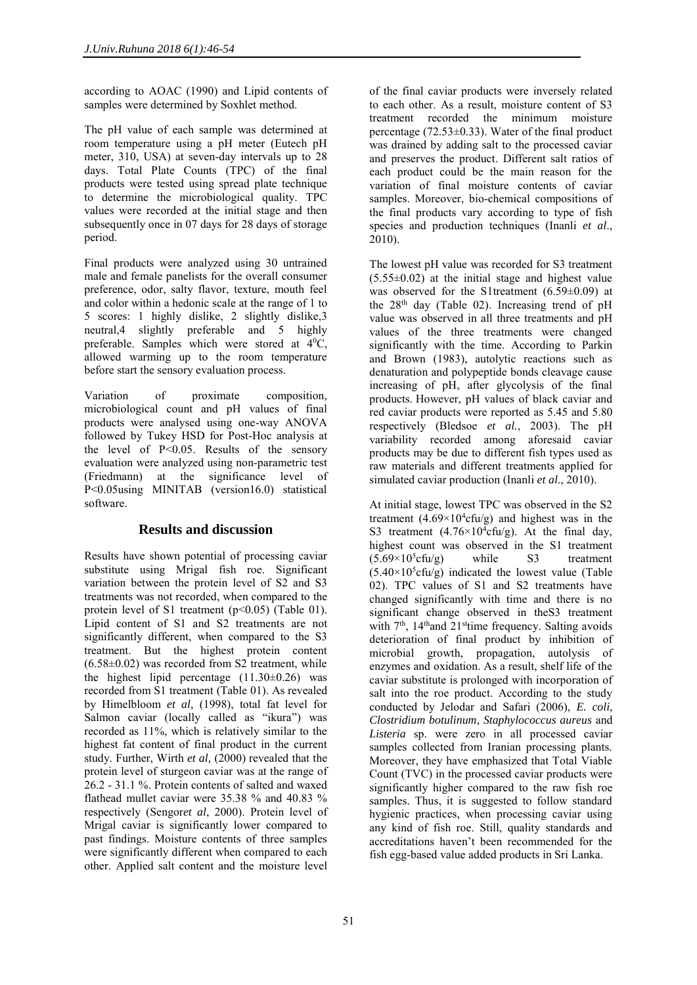according to AOAC (1990) and Lipid contents of samples were determined by Soxhlet method.

The pH value of each sample was determined at room temperature using a pH meter (Eutech pH meter, 310, USA) at seven-day intervals up to 28 days. Total Plate Counts (TPC) of the final products were tested using spread plate technique to determine the microbiological quality. TPC values were recorded at the initial stage and then subsequently once in 07 days for 28 days of storage period.

Final products were analyzed using 30 untrained male and female panelists for the overall consumer preference, odor, salty flavor, texture, mouth feel and color within a hedonic scale at the range of 1 to 5 scores: 1 highly dislike, 2 slightly dislike,3 neutral,4 slightly preferable and 5 highly preferable. Samples which were stored at 4<sup>0</sup>C, allowed warming up to the room temperature before start the sensory evaluation process.

Variation of proximate composition, microbiological count and pH values of final products were analysed using one-way ANOVA followed by Tukey HSD for Post-Hoc analysis at the level of P<0.05. Results of the sensory evaluation were analyzed using non-parametric test (Friedmann) at the significance level of P<0.05using MINITAB (version16.0) statistical software.

### **Results and discussion**

Results have shown potential of processing caviar substitute using Mrigal fish roe. Significant variation between the protein level of S2 and S3 treatments was not recorded, when compared to the protein level of S1 treatment  $(p<0.05)$  (Table 01). Lipid content of S1 and S2 treatments are not significantly different, when compared to the S3 treatment. But the highest protein content  $(6.58\pm0.02)$  was recorded from S2 treatment, while the highest lipid percentage  $(11.30\pm0.26)$  was recorded from S1 treatment (Table 01). As revealed by Himelbloom *et al,* (1998), total fat level for Salmon caviar (locally called as "ikura") was recorded as 11%, which is relatively similar to the highest fat content of final product in the current study. Further, Wirth *et al,* (2000) revealed that the protein level of sturgeon caviar was at the range of 26.2 - 31.1 %. Protein contents of salted and waxed flathead mullet caviar were 35.38 % and 40.83 % respectively (Sengor*et al*, 2000). Protein level of Mrigal caviar is significantly lower compared to past findings. Moisture contents of three samples were significantly different when compared to each other. Applied salt content and the moisture level of the final caviar products were inversely related to each other. As a result, moisture content of S3 treatment recorded the minimum moisture percentage  $(72.53\pm0.33)$ . Water of the final product was drained by adding salt to the processed caviar and preserves the product. Different salt ratios of each product could be the main reason for the variation of final moisture contents of caviar samples. Moreover, bio-chemical compositions of the final products vary according to type of fish species and production techniques (Inanli *et al*., 2010).

The lowest pH value was recorded for S3 treatment  $(5.55\pm0.02)$  at the initial stage and highest value was observed for the S1treatment (6.59±0.09) at the  $28<sup>th</sup>$  day (Table 02). Increasing trend of pH value was observed in all three treatments and pH values of the three treatments were changed significantly with the time. According to Parkin and Brown (1983), autolytic reactions such as denaturation and polypeptide bonds cleavage cause increasing of pH, after glycolysis of the final products. However, pH values of black caviar and red caviar products were reported as 5.45 and 5.80 respectively (Bledsoe *et al.*, 2003). The pH variability recorded among aforesaid caviar products may be due to different fish types used as raw materials and different treatments applied for simulated caviar production (Inanli *et al*., 2010).

At initial stage, lowest TPC was observed in the S2 treatment  $(4.69 \times 10^4$ cfu/g) and highest was in the S3 treatment  $(4.76 \times 10^4 \text{cfu/g})$ . At the final day, highest count was observed in the S1 treatment  $(5.69 \times 10^{5} \text{cfn/g})$  while S3 treatment  $(5.69\times10^5 \text{cfu/s})$ treatment  $(5.40 \times 10^{5} \text{cfu/g})$  indicated the lowest value (Table 02). TPC values of S1 and S2 treatments have changed significantly with time and there is no significant change observed in theS3 treatment with  $7<sup>th</sup>$ , 14<sup>th</sup>and 21<sup>st</sup>time frequency. Salting avoids deterioration of final product by inhibition of microbial growth, propagation, autolysis of enzymes and oxidation. As a result, shelf life of the caviar substitute is prolonged with incorporation of salt into the roe product. According to the study conducted by Jelodar and Safari (2006), *E. coli*, *Clostridium botulinum*, *Staphylococcus aureus* and *Listeria* sp. were zero in all processed caviar samples collected from Iranian processing plants. Moreover, they have emphasized that Total Viable Count (TVC) in the processed caviar products were significantly higher compared to the raw fish roe samples. Thus, it is suggested to follow standard hygienic practices, when processing caviar using any kind of fish roe. Still, quality standards and accreditations haven't been recommended for the fish egg-based value added products in Sri Lanka.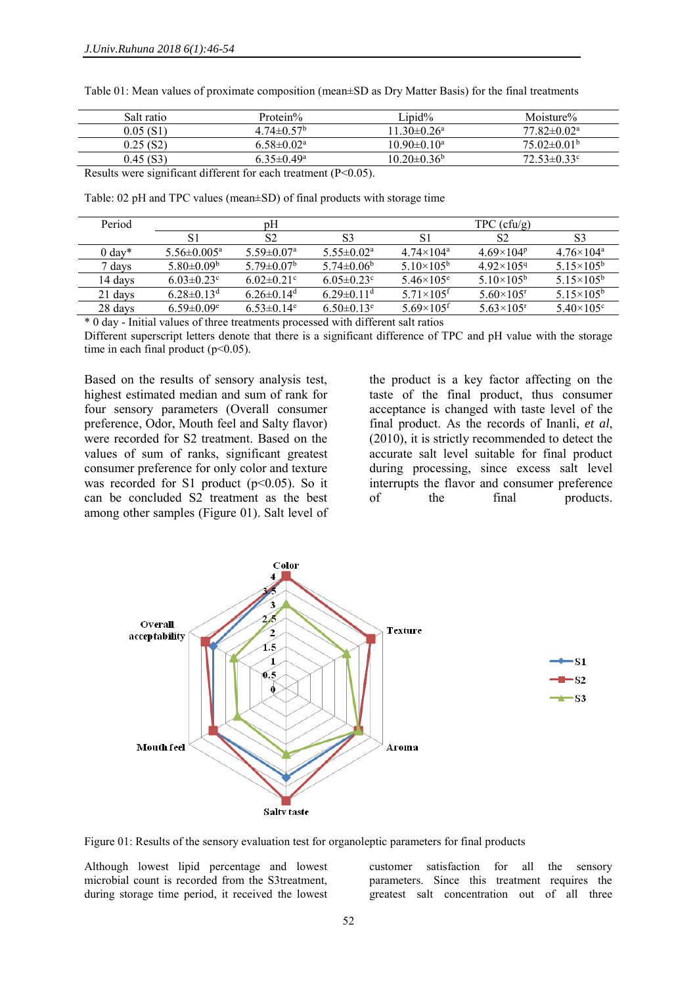| Salt ratio                                                        | Protein%                                                | Linid%                   | Moisture%              |
|-------------------------------------------------------------------|---------------------------------------------------------|--------------------------|------------------------|
| 0.05 (S1)                                                         | $4.74 \pm 0.57^b$                                       | $11.30 \pm 0.26^a$       | $77.82 \pm 0.02^a$     |
| 0.25(S2)                                                          | $6.58 \pm 0.02$ <sup>a</sup>                            | $10.90 \pm 0.10^a$       | $75.02\pm0.01^{\circ}$ |
| 0.45(S3)                                                          | $6.35 \pm 0.49^a$                                       | $10.20 \pm 0.36^{\circ}$ | $72.53 \pm 0.33$ °     |
| $\sim$ $\sim$ $\sim$ $\sim$ $\sim$<br>$\sim$ $\sim$ $\sim$ $\sim$ | $\sim$ $\sim$ $\sim$ $\sim$ $\sim$ $\sim$ $\sim$ $\sim$ |                          |                        |

Table 01: Mean values of proximate composition (mean±SD as Dry Matter Basis) for the final treatments

Results were significant different for each treatment (P<0.05).

Table: 02 pH and TPC values (mean±SD) of final products with storage time

| Period           | pΗ                           |                              |                              | $TPC$ (cfu/g)                  |                                |                                |
|------------------|------------------------------|------------------------------|------------------------------|--------------------------------|--------------------------------|--------------------------------|
|                  |                              | S <sub>2</sub>               | S3                           | S1                             | S <sub>2</sub>                 | S3                             |
| $0 \text{ day*}$ | $5.56 \pm 0.005^a$           | $5.59 \pm 0.07$ <sup>a</sup> | $5.55 \pm 0.02^a$            | 4 74×104 <sup>a</sup>          | 4.69 $\times$ 104 <sup>p</sup> | $4.76 \times 104^a$            |
| 7 davs           | 5.80 $\pm$ 0.09 <sup>b</sup> | $5.79 \pm 0.07^b$            | $5.74 \pm 0.06^b$            | $5.10\times105^{6}$            | $4.92\times1059$               | $5.15\times105^{b}$            |
| 14 davs          | $6.03 \pm 0.23$ °            | 6.02 $\pm$ 0.21 <sup>c</sup> | $6.05 \pm 0.23$ °            | $5.46 \times 105^e$            | 5.10 $\times$ 105 <sup>b</sup> | $5.15\times105^{b}$            |
| 21 days          | $6.28\pm0.13^{\rm d}$        | $6.26 \pm 0.14$ <sup>d</sup> | $6.29 \pm 0.11$ <sup>d</sup> | 5.71 $\times$ 105 <sup>f</sup> | 5.60 $\times$ 105 <sup>r</sup> | $5.15\times105^{b}$            |
| 28 days          | $6.59 \pm 0.09$ <sup>e</sup> | $6.53 \pm 0.14$ <sup>e</sup> | $6.50\pm0.13^e$              | $5.69\times105$ <sup>f</sup>   | 5.63 $\times$ 105 <sup>r</sup> | 5.40 $\times$ 105 <sup>c</sup> |

\* 0 day - Initial values of three treatments processed with different salt ratios

Different superscript letters denote that there is a significant difference of TPC and pH value with the storage time in each final product  $(p<0.05)$ .

Based on the results of sensory analysis test, highest estimated median and sum of rank for four sensory parameters (Overall consumer preference, Odor, Mouth feel and Salty flavor) were recorded for S2 treatment. Based on the values of sum of ranks, significant greatest consumer preference for only color and texture was recorded for S1 product  $(p<0.05)$ . So it can be concluded S2 treatment as the best among other samples (Figure 01). Salt level of

the product is a key factor affecting on the taste of the final product, thus consumer acceptance is changed with taste level of the final product. As the records of Inanli, *et al*, (2010), it is strictly recommended to detect the accurate salt level suitable for final product during processing, since excess salt level interrupts the flavor and consumer preference of the final products.



Figure 01: Results of the sensory evaluation test for organoleptic parameters for final products

Although lowest lipid percentage and lowest microbial count is recorded from the S3treatment, during storage time period, it received the lowest customer satisfaction for all the sensory parameters. Since this treatment requires the greatest salt concentration out of all three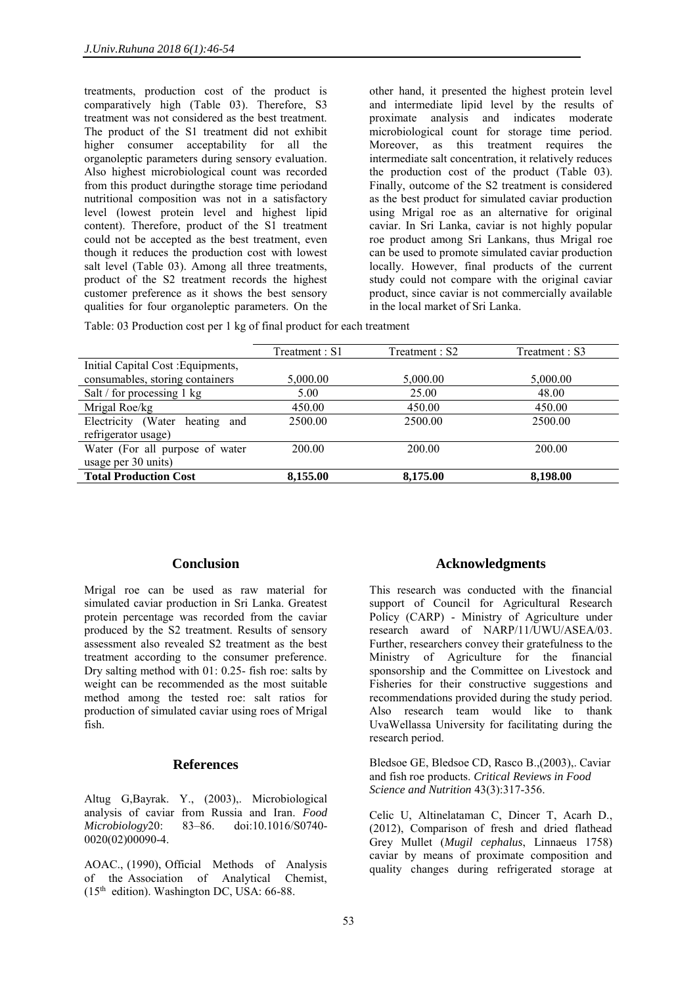treatments, production cost of the product is comparatively high (Table 03). Therefore, S3 treatment was not considered as the best treatment. The product of the S1 treatment did not exhibit higher consumer acceptability for all the organoleptic parameters during sensory evaluation. Also highest microbiological count was recorded from this product duringthe storage time periodand nutritional composition was not in a satisfactory level (lowest protein level and highest lipid content). Therefore, product of the S1 treatment could not be accepted as the best treatment, even though it reduces the production cost with lowest salt level (Table 03). Among all three treatments, product of the S2 treatment records the highest customer preference as it shows the best sensory qualities for four organoleptic parameters. On the

other hand, it presented the highest protein level and intermediate lipid level by the results of proximate analysis and indicates moderate microbiological count for storage time period. Moreover, as this treatment requires the intermediate salt concentration, it relatively reduces the production cost of the product (Table 03). Finally, outcome of the S2 treatment is considered as the best product for simulated caviar production using Mrigal roe as an alternative for original caviar. In Sri Lanka, caviar is not highly popular roe product among Sri Lankans, thus Mrigal roe can be used to promote simulated caviar production locally. However, final products of the current study could not compare with the original caviar product, since caviar is not commercially available in the local market of Sri Lanka.

Table: 03 Production cost per 1 kg of final product for each treatment

|                                      | Treatment : S1 | Treatment : S2 | Treatment : S3 |
|--------------------------------------|----------------|----------------|----------------|
| Initial Capital Cost : Equipments,   |                |                |                |
| consumables, storing containers      | 5,000.00       | 5,000.00       | 5,000.00       |
| Salt / for processing 1 kg           | 25.00<br>5.00  |                | 48.00          |
| Mrigal Roe/kg                        | 450.00         | 450.00         | 450.00         |
| Electricity (Water<br>heating<br>and | 2500.00        | 2500.00        | 2500.00        |
| refrigerator usage)                  |                |                |                |
| Water (For all purpose of water      | 200.00         | 200.00         | 200.00         |
| usage per 30 units)                  |                |                |                |
| <b>Total Production Cost</b>         | 8,155.00       | 8,175.00       | 8,198.00       |

### **Conclusion**

Mrigal roe can be used as raw material for simulated caviar production in Sri Lanka. Greatest protein percentage was recorded from the caviar produced by the S2 treatment. Results of sensory assessment also revealed S2 treatment as the best treatment according to the consumer preference. Dry salting method with 01: 0.25- fish roe: salts by weight can be recommended as the most suitable method among the tested roe: salt ratios for production of simulated caviar using roes of Mrigal fish.

### **References**

Altug G,Bayrak. Y., (2003),. Microbiological analysis of caviar from Russia and Iran. *Food Microbiology*20: 83–86. doi:10.1016/S0740- 0020(02)00090-4.

AOAC., (1990), Official Methods of Analysis of the Association of Analytical Chemist,  $(15<sup>th</sup>$  edition). Washington DC, USA: 66-88.

### **Acknowledgments**

This research was conducted with the financial support of Council for Agricultural Research Policy (CARP) - Ministry of Agriculture under research award of NARP/11/UWU/ASEA/03. Further, researchers convey their gratefulness to the Ministry of Agriculture for the financial sponsorship and the Committee on Livestock and Fisheries for their constructive suggestions and recommendations provided during the study period. Also research team would like to thank UvaWellassa University for facilitating during the research period.

Bledsoe GE, Bledsoe CD, Rasco B.,(2003),. Caviar and fish roe products. *Critical Reviews in Food Science and Nutrition* 43(3):317-356.

Celic U, Altinelataman C, Dincer T, Acarh D., (2012), Comparison of fresh and dried flathead Grey Mullet (*Mugil cephalus*, Linnaeus 1758) caviar by means of proximate composition and quality changes during refrigerated storage at